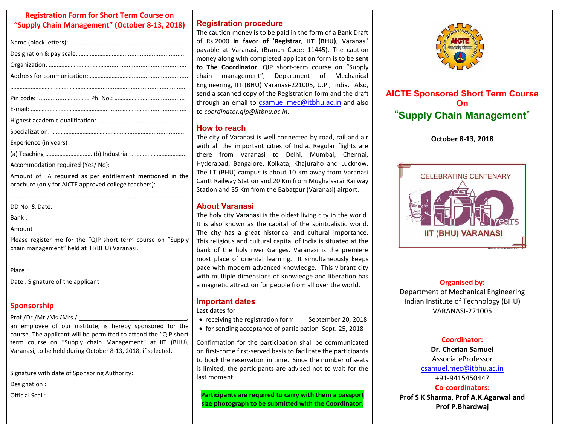#### **Registration Form for Short Term Course on "Supply Chain Management" (October 8-13, 2018)**

| Experience (in years):                                    |  |  |  |
|-----------------------------------------------------------|--|--|--|
|                                                           |  |  |  |
| Accommodation required (Yes/No):                          |  |  |  |
| Amount of TA required as per entitlement mentioned in the |  |  |  |

………….………………………………………….............................................…

brochure (only for AICTE approved college teachers):

DD No. & Date:

Bank : Amount :

Please register me for the "QIP short term course on "Supply chain management" held at IIT(BHU) Varanasi.

Place :

Date : Signature of the applicant

### **Sponsorship**

Prof./Dr./Mr./Ms./Mrs./

an employee of our institute, is hereby sponsored for the course. The applicant will be permitted to attend the "QIP short term course on "Supply chain Management" at IIT (BHU), Varanasi, to be held during October 8-13, 2018, if selected.

Signature with date of Sponsoring Authority:

Designation :

Official Seal :

### **Registration procedure**

The caution money is to be paid in the form of a Bank Draft of Rs.2000 **in favor of 'Registrar, IIT (BHU)**, Varanasi' payable at Varanasi, (Branch Code: 11445). The caution money along with completed application form is to be **sent**  to The Coordinator, QIP short-term course on "Supply chain management", Department of Mechanical Engineering, IIT (BHU) Varanasi-221005, U.P., India. Also, send a scanned copy of the Registration form and the draft through an email to [csamuel.mec@itbhu.ac.in](mailto:csamuel.mec@itbhu.ac.in) and also to *coordinator.qip@iitbhu.ac.in*.

### **How to reach**

The city of Varanasi is well connected by road, rail and air with all the important cities of India. Regular flights are there from Varanasi to Delhi, Mumbai, Chennai, Hyderabad, Bangalore, Kolkata, Khajuraho and Lucknow. The IIT (BHU) campus is about 10 Km away from Varanasi Cantt Railway Station and 20 Km from Mughalsarai Railway Station and 35 Km from the Babatpur (Varanasi) airport.

## **About Varanasi**

The holy city Varanasi is the oldest living city in the world. It is also known as the capital of the spiritualistic world. The city has a great historical and cultural importance. This religious and cultural capital of India is situated at the bank of the holy river Ganges. Varanasi is the premiere most place of oriental learning. It simultaneously keeps pace with modern advanced knowledge. This vibrant city with multiple dimensions of knowledge and liberation has a magnetic attraction for people from all over the world.

## **Important dates**

Last dates for

- receiving the registration form September 20, 2018
- for sending acceptance of participation Sept. 25, 2018

Confirmation for the participation shall be communicated on first-come first-served basis to facilitate the participants to book the reservation in time. Since the number of seats is limited, the participants are advised not to wait for the last moment.

**Participants are required to carry with them a passport size photograph to be submitted with the Coordinator**.



# **AICTE Sponsored Short Term Course On** "**Supply Chain Management**"

**October 8-13, 2018** 



### **Organised by:**

Department of Mechanical Engineering Indian Institute of Technology (BHU) VARANASI-221005

### **Coordinator:**

**Dr. Cherian Samuel**  AssociateProfessor [csamuel.mec@itbhu.ac.in](mailto:csamuel.mec@itbhu.ac.in) +91-9415450447

**Co-coordinators: Prof S K Sharma, Prof A.K.Agarwal and Prof P.Bhardwaj**